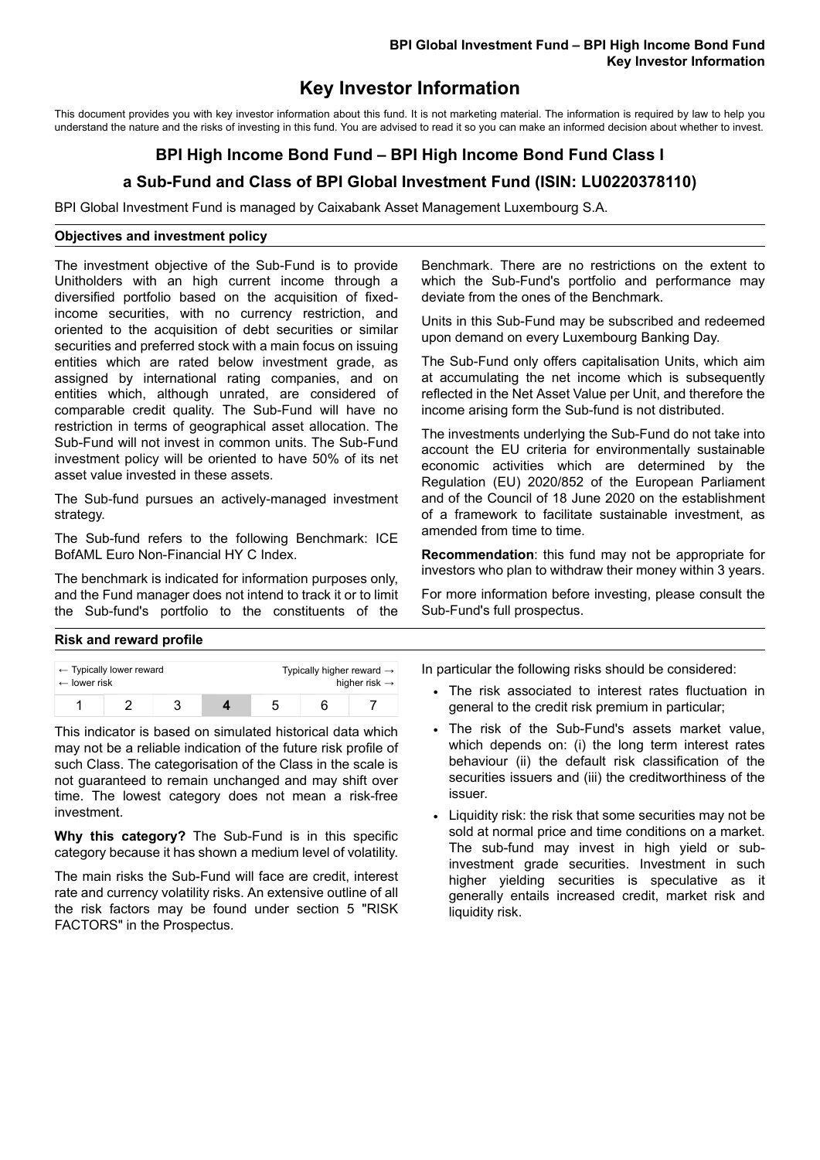## **Key Investor Information**

This document provides you with key investor information about this fund. It is not marketing material. The information is required by law to help you understand the nature and the risks of investing in this fund. You are advised to read it so you can make an informed decision about whether to invest.

# **BPI High Income Bond Fund – BPI High Income Bond Fund Class I**

## **a Sub-Fund and Class of BPI Global Investment Fund (ISIN: LU0220378110)**

BPI Global Investment Fund is managed by Caixabank Asset Management Luxembourg S.A.

#### **Objectives and investment policy**

The investment objective of the Sub-Fund is to provide Unitholders with an high current income through a diversified portfolio based on the acquisition of fixedincome securities, with no currency restriction, and oriented to the acquisition of debt securities or similar securities and preferred stock with a main focus on issuing entities which are rated below investment grade, as assigned by international rating companies, and on entities which, although unrated, are considered of comparable credit quality. The Sub-Fund will have no restriction in terms of geographical asset allocation. The Sub-Fund will not invest in common units. The Sub-Fund investment policy will be oriented to have 50% of its net asset value invested in these assets.

The Sub-fund pursues an actively-managed investment strategy.

The Sub-fund refers to the following Benchmark: ICE BofAML Euro Non-Financial HY C Index.

The benchmark is indicated for information purposes only, and the Fund manager does not intend to track it or to limit the Sub-fund's portfolio to the constituents of the

Benchmark. There are no restrictions on the extent to which the Sub-Fund's portfolio and performance may deviate from the ones of the Benchmark.

Units in this Sub-Fund may be subscribed and redeemed upon demand on every Luxembourg Banking Day.

The Sub-Fund only offers capitalisation Units, which aim at accumulating the net income which is subsequently reflected in the Net Asset Value per Unit, and therefore the income arising form the Sub-fund is not distributed.

The investments underlying the Sub-Fund do not take into account the EU criteria for environmentally sustainable economic activities which are determined by the Regulation (EU) 2020/852 of the European Parliament and of the Council of 18 June 2020 on the establishment of a framework to facilitate sustainable investment, as amended from time to time.

**Recommendation**: this fund may not be appropriate for investors who plan to withdraw their money within 3 years.

For more information before investing, please consult the Sub-Fund's full prospectus.

### **Risk and reward profile**

| $\leftarrow$ Typically lower reward |  |  |  | Typically higher reward $\rightarrow$ |  |  |
|-------------------------------------|--|--|--|---------------------------------------|--|--|
| $\leftarrow$ lower risk             |  |  |  | higher risk $\rightarrow$             |  |  |
|                                     |  |  |  |                                       |  |  |

This indicator is based on simulated historical data which may not be a reliable indication of the future risk profile of such Class. The categorisation of the Class in the scale is not guaranteed to remain unchanged and may shift over time. The lowest category does not mean a risk-free investment.

**Why this category?** The Sub-Fund is in this specific category because it has shown a medium level of volatility.

The main risks the Sub-Fund will face are credit, interest rate and currency volatility risks. An extensive outline of all the risk factors may be found under section 5 "RISK FACTORS" in the Prospectus.

In particular the following risks should be considered:

- The risk associated to interest rates fluctuation in general to the credit risk premium in particular;
- The risk of the Sub-Fund's assets market value, which depends on: (i) the long term interest rates behaviour (ii) the default risk classification of the securities issuers and (iii) the creditworthiness of the issuer.
- Liquidity risk: the risk that some securities may not be sold at normal price and time conditions on a market. The sub-fund may invest in high yield or subinvestment grade securities. Investment in such higher yielding securities is speculative as it generally entails increased credit, market risk and liquidity risk.